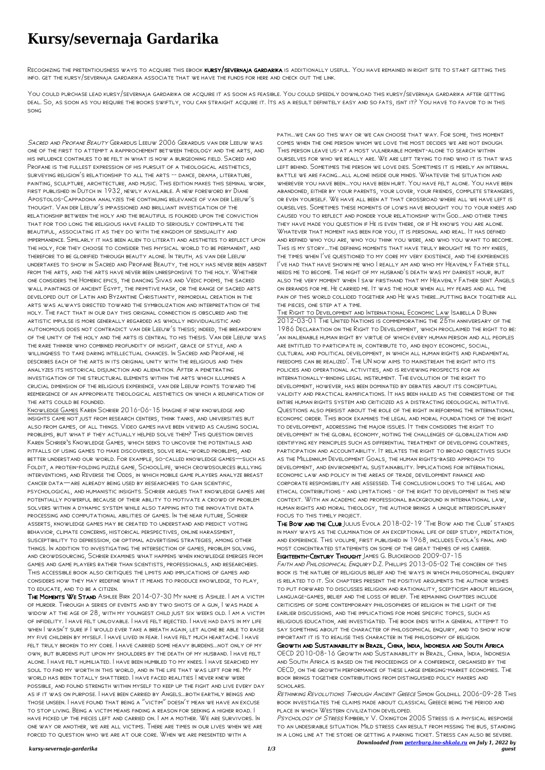## **Kursy/severnaja Gardarika**

RECOGNIZING THE PRETENTIOUSNESS WAYS TO ACQUIRE THIS EBOOK KURSY/SEVERNAJA GARDARIKA IS ADDITIONALLY USEFUL. YOU HAVE REMAINED IN RIGHT SITE TO START GETTING THIS info. get the kursy/severnaja gardarika associate that we have the funds for here and check out the link.

You could purchase lead kursy/severnaja gardarika or acquire it as soon as feasible. You could speedily download this kursy/severnaja gardarika after getting deal. So, as soon as you require the books swiftly, you can straight acquire it. Its as a result definitely easy and so fats, isnt it? You have to favor to in this song

Sacred and Profane Beauty Gerardus Leeuw 2006 Gerardus van der Leeuw was one of the first to attempt a rapprochement between theology and the arts, and his influence continues to be felt in what is now a burgeoning field. Sacred and PROFANE IS THE FULLEST EXPRESSION OF HIS PURSUIT OF A THEOLOGICAL AESTHETICS. surveying religion's relationship to all the arts -- dance, drama, literature, painting, sculpture, architecture, and music. This edition makes this seminal work, first published in Dutch in 1932, newly available. A new foreword by Diane Apostolos-Cappadona analyzes the continuing relevance of van der Leeuw's thought. Van der Leeuw's impassioned and brilliant investigation of the relationship between the holy and the beautiful is founded upon the conviction that for too long the religious have failed to seriously contemplate the beautiful, associating it as they do with the kingdom of sensuality and impermanence. Similarly it has been alien to literati and aesthetes to reflect upon the holy, for they choose to consider this physical world to be permanent, and therefore to be glorified through beauty alone. In truth, as van der Leeuw undertakes to show in Sacred and Profane Beauty, the holy has never been absent from the arts, and the arts have never been unresponsive to the holy. Whether one considers the Homeric epics, the dancing Sivas and Vedic poems, the sacred wall paintings of ancient Egypt, the primitive mask, or the range of sacred arts developed out of Latin and Byzantine Christianity, primordial creation in the arts was always directed toward the symbolization and interpretation of the holy. The fact that in our day this original connection is obscured and the artistic impulse is more generally regarded as wholly individualistic and autonomous does not contradict van der Leeuw's thesis; indeed, the breakdown of the unity of the holy and the arts is central to his thesis. Van der Leeuw was the rare thinker who combined profundity of insight, grace of style, and a willingness to take daring intellectual chances. In Sacred and Profane, he describes each of the arts in its original unity with the religious and then analyzes its historical disjunction and alienation. After a penetrating investigation of the structural elements within the arts which illumines a crucial dimension of the religious experience, van der Leeuw points toward the reemergence of an appropriate theological aesthetics on which a reunification of the arts could be founded.

Knowledge Games Karen Schrier 2016-06-15 Imagine if new knowledge and insights came not just from research centers, think tanks, and universities but also from games, of all things. Video games have been viewed as causing social problems, but what if they actually helped solve them? This question drives Karen Schrier's Knowledge Games, which seeks to uncover the potentials and pitfalls of using games to make discoveries, solve real-world problems, and better understand our world. For example, so-called knowledge games—such as Foldit, a protein-folding puzzle game, SchoolLife, which crowdsources bullying interventions, and Reverse the Odds, in which mobile game players analyze breast cancer data—are already being used by researchers to gain scientific, psychological, and humanistic insights. Schrier argues that knowledge games are potentially powerful because of their ability to motivate a crowd of problem solvers within a dynamic system while also tapping into the innovative data processing and computational abilities of games. In the near future, Schrier asserts, knowledge games may be created to understand and predict voting behavior, climate concerns, historical perspectives, online harassment, susceptibility to depression, or optimal advertising strategies, among other things. In addition to investigating the intersection of games, problem solving, and crowdsourcing, Schrier examines what happens when knowledge emerges from games and game players rather than scientists, professionals, and researchers. This accessible book also critiques the limits and implications of games and considers how they may redefine what it means to produce knowledge, to play,

to educate, and to be a citizen.

The Moments We Stand Ashlee Birk 2014-07-30 My name is Ashlee. I am a victim of murder. Through a series of events and by two shots of a gun, I was made a widow at the age of 28, with my youngest child just six weeks old. I am a victim of infidelity. I have felt unlovable. I have felt rejected. I have had days in my life when I wasn't sure if I would ever take a breath again, let alone be able to raise my five children by myself. I have lived in fear. I have felt much heartache. I have felt truly broken to my core. I have carried some heavy burdens...not only of my own, but burdens put upon my shoulders by the death of my husband. I have felt alone. I have felt humiliated. I have been humbled to my knees. I have searched my soul to find my worth in this world, and in the life that was left for me. My world has been totally shattered. I have faced realities I never knew were possible, and found strength within myself to keep up the fight and live every day as if it was on purpose. I have been carried by Angels...both earthly beings and those unseen. I have found that being a "victim" doesn't mean we have an excuse to stop living. Being a victim means finding a reason for seeking a higher road. I have picked up the pieces left and carried on. I am a mother. We are survivors. In one way or another, we are all victims. There are times in our lives when we are forced to question who we are at our core. When we are presented with a

*Downloaded from [peterburg.ino-shkola.ru](http://peterburg.ino-shkola.ru) on July 1, 2022 by* PSYCHOLOGY OF STRESS KIMBERLY V. OXINGTON 2005 STRESS IS A PHYSICAL RESPONSE to an undesirable situation. Mild stress can result from missing the bus, standing in a long line at the store or getting a parking ticket. Stress can also be severe.

path...we can go this way or we can choose that way. For some, this moment comes when the one person whom we love the most decides we are not enough. This person leave us-at a most vulnerable moment-alone to search within ourselves for who we really are. We are left trying to find who it is that was left behind. Sometimes the person we love dies. Sometimes it is merely an internal battle we are facing...all alone inside our minds. Whatever the situation and wherever you have been...you have been hurt. You have felt alone. You have been abandoned, either by your parents, your lover, your friends, complete strangers, or even yourself. We have all been at that crossroad where all we have left is ourselves. Sometimes these moments of lows have brought you to your knees and caused you to reflect and ponder your relationship with God...and other times they have made you question if He is even there, or if He knows you are alone. Whatever that moment has been for you, it is personal and real. It has defined and refined who you are, who you think you were, and who you want to become. This is my story...the defining moments that have truly brought me to my knees, the times when I've questioned to my core my very existence, and the experiences I've had that have shown me who I really am and who my Heavenly Father still needs me to become. The night of my husband's death was my darkest hour, but also the very moment when I saw firsthand that my Heavenly Father sent Angels on errands for me. He carried me. It was the hour when all my fears and all the pain of this world collided together and He was there...putting back together all the pieces, one step at a time.

The Right to Development and International Economic Law Isabella D Bunn 2012-03-01 The United Nations is commemorating the 25th anniversary of the 1986 Declaration on the Right to Development, which proclaimed the right to be: 'an inalienable human right by virtue of which every human person and all peoples are entitled to participate in, contribute to, and enjoy economic, social, cultural and political development, in which all human rights and fundamental freedoms can be realized'. The UN now aims to mainstream the right into its policies and operational activities, and is reviewing prospects for an internationally-binding legal instrument. The evolution of the right to development, however, has been dominated by debates about its conceptual validity and practical ramifications. It has been hailed as the cornerstone of the entire human rights system and criticized as a distracting ideological initiative. Questions also persist about the role of the right in reforming the international economic order. This book examines the legal and moral foundations of the right to development, addressing the major issues. It then considers the right to development in the global economy, noting the challenges of globalization and identifying key principles such as differential treatment of developing countries, participation and accountability. It relates the right to broad objectives such as the Millennium Development Goals, the human rights-based approach to development, and environmental sustainability. Implications for international economic law and policy in the areas of trade, development finance and corporate responsibility are assessed. The conclusion looks to the legal and ethical contributions - and limitations - of the right to development in this new context. With an academic and professional background in international law, human rights and moral theology, the author brings a unique interdisciplinary focus to this timely project.

The Bow and the Club Julius Evola 2018-02-19 'The Bow and the Club' stands in many ways as the culmination of an exceptional life of deep study, meditation, and experience. This volume, first published in 1968, includes Evola's final and most concentrated statements on some of the great themes of his career. Eighteenth-Century Thought James G. Buickerood 2009-07-15

Faith and Philosophical Enquiry D.Z. Phillips 2013-05-02 The concern of this book is the nature of religious belief and the ways in which philosophical enquiry is related to it. Six chapters present the positive arguments the author wishes to put forward to discusses religion and rationality, scepticism about religion, language-games, belief and the loss of belief. The remaining chapters include criticisms of some contemporary philosophers of religion in the light of the earlier discussions, and the implications for more specific topics, such as religious education, are investigated. The book ends with a general attempt to say something about the character of philosophical enquiry, and to show how important it is to realise this character in the philosophy of religion. Growth and Sustainability in Brazil, China, India, Indonesia and South Africa OECD 2010-08-16 Growth and Sustainability in Brazil, China, India, Indonesia and South Africa is based on the proceedings of a conference, organised by the OECD, on the growth performance of these large emerging-market economies. The book brings together contributions from distinguished policy makers and scholars.

Rethinking Revolutions Through Ancient Greece Simon Goldhill 2006-09-28 This book investigates the claims made about classical Greece being the period and place in which Western civilization developed.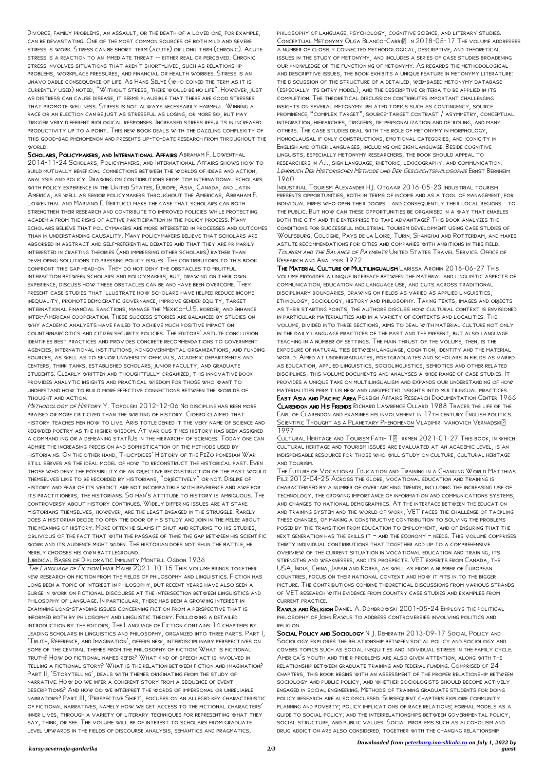Divorce, family problems, an assault, or the death of a loved one, for example, can be devastating. One of the most common sources of both mild and severe stress is work. Stress can be short-term (acute) or long-term (chronic). Acute stress is a reaction to an immediate threat -- either real or perceived. Chronic stress involves situations that aren't short-lived, such as relationship problems, workplace pressures, and financial or health worries. Stress is an unavoidable consequence of life. As Hans Selye (who coined the term as it is currently used) noted, "Without stress, there would be no life". However, just as distress can cause disease, it seems plausible that there are good stresses that promote wellness. Stress is not always necessarily harmful. Winning a race or an election can be just as stressful as losing, or more so, but may trigger very different biological responses. Increased stress results in increased productivity up to a point. This new book deals with the dazzling complexity of this good-bad phenomenon and presents up-to-date research from throughout the WORLD.

SCHOLARS, POLICYMAKERS, AND INTERNATIONAL AFFAIRS ABRAHAM F. LOWENTHAL 2014-11-24 Scholars, Policymakers, and International Affairs shows how to build mutually beneficial connections between the worlds of ideas and action, analysis and policy. Drawing on contributions from top international scholars with policy experience in the United States, Europe, Asia, Canada, and Latin America, as well as senior policymakers throughout the Americas, Abraham F. Lowenthal and Mariano E. Bertucci make the case that scholars can both strengthen their research and contribute to improved policies while protecting academia from the risks of active participation in the policy process. Many scholars believe that policymakers are more interested in processes and outcomes than in understanding causality. Many policymakers believe that scholars are absorbed in abstract and self-referential debates and that they are primarily interested in crafting theories (and impressing other scholars) rather than developing solutions to pressing policy issues. The contributors to this book confront this gap head-on. They do not deny the obstacles to fruitful interaction between scholars and policymakers, but, drawing on their own experience, discuss how these obstacles can be and have been overcome. They present case studies that illustrate how scholars have helped reduce income inequality, promote democratic governance, improve gender equity, target international financial sanctions, manage the Mexico–U.S. border, and enhance inter-American cooperation. These success stories are balanced by studies on why academic analysts have failed to achieve much positive impact on counternarcotics and citizen security policies. The editors' astute conclusion identifies best practices and provides concrete recommendations to government agencies, international institutions, nongovernmental organizations, and funding sources, as well as to senior university officials, academic departments and centers, think tanks, established scholars, junior faculty, and graduate students. Clearly written and thoughtfully organized, this innovative book provides analytic insights and practical wisdom for those who want to understand how to build more effective connections between the worlds of thought and action.

Methodology of History Y. Topolski 2012-12-06 No discipline has been more praised or more criticized than the writing of history. Cioero claimed that history teaches men how to live. Aris totle denied it the very name of science and regwded poetry as the higher wisdom. At various times history has been assigned a command ing or a demeaning statIUs in the hierarchy of sciences. Today one can admire the increasing precision and sophistication of the methods used by historia:ns. On the other hand, Thucydides' History of the PeZo ponesian War still serves as the ideal model of how to reconstruct the historical past. Even those who deny the possibility of an objective reconstruction of the past would themselves likie to be recorded by historians, "objectively" or not. Dislike of history and fear of its verdict are not incompatible with reverence and awe for its practitioners, the historians. So man's attitude to history is ambiguous. The controversy about history continues. Widely differing issues are at stake. Historians themselves, however, are the least engaged in the struggle. Rarely does a historian decide to open the door of his study and join in the melee about the meaning of history. More often he slams it shut and returns to his studies, oblivious of the fact that with the passage of thne the gap between his scientific work and its audience might widen. The historian does not shun the battle, he merely chooses his own battleground.

Juridical Bases of Diplomatic Immunity Montell Ogdon 1936

The Language of Fiction Emar Maier 2021-10-15 This volume brings together new research on fiction from the fields of philosophy and linguistics. Fiction has CULTURAL HERITAGE AND TOURISM FATIH T**P** RKMEN 2021-01-27 THIS BOOK, IN WHICH cultural heritage and tourism issues are evaluated at an academic level, is an indispensable resource for those who will study on culture, cultural heritage and tourism.

long been a topic of interest in philosophy, but recent years have also seen a surge in work on fictional discourse at the intersection between linguistics and philosophy of language. In particular, there has been a growing interest in examining long-standing issues concerning fiction from a perspective that is informed both by philosophy and linguistic theory. Following a detailed introduction by the editors, The Language of Fiction contains 14 chapters by leading scholars in linguistics and philosophy, organized into three parts. Part I, 'Truth, Reference, and Imagination', offers new, interdisciplinary perspectives on some of the central themes from the philosophy of fiction: What is fictional truth? How do fictional names refer? What kind of speech act is involved in telling a fictional story? What is the relation between fiction and imagination? Part II, 'Storytelling', deals with themes originating from the study of narrative: How do we infer a coherent story from a sequence of event descriptions? And how do we interpret the words of impersonal or unreliable narrators? Part III, 'Perspective Shift', focuses on an alleged key characteristic of fictional narratives, namely how we get access to the fictional characters' inner lives, through a variety of literary techniques for representing what they say, think, or see. The volume will be of interest to scholars from graduate level upwards in the fields of discourse analysis, semantics and pragmatics,

philosophy of language, psychology, cognitive science, and literary studies. CONCEPTUAL METONYMY OLGA BLANCO-CARRIE N 2018-05-17 THE VOLUME ADDRESSES a number of closely connected methodological, descriptive, and theoretical issues in the study of metonymy, and includes a series of case studies broadening our knowledge of the functioning of metonymy. As regards the methodological and descriptive issues, the book exhibits a unique feature in metonymy literature: the discussion of the structure of a detailed, web-based metonymy database (especially its entry model), and the descriptive criteria to be applied in its completion. The theoretical discussion contributes important challenging insights on several metonymy-related topics such as contingency, source prominence, "complex target", source-target contrast / asymmetry, conceptual integration, hierarchies, triggers, de-personalization and de-roling, and many others. The case studies deal with the role of metonymy in morphology, monoclausal if only constructions, emotional categories, and iconicity in English and other languages, including one sign language. Beside cognitive linguists, especially metonymy researchers, the book should appeal to researchers in A.I., sign language, rhetoric, lexicography, and communication. Lehrbuch Der Historischen Methode und Der Geschichtsphilosophie Ernst Bernheim 1960

Industrial Tourism Alexander H.J. Otgaar 2016-05-23 Industrial tourism presents opportunities, both in terms of income and as a tool of management, for individual firms who open their doors - and consequently their local regions - to the public. But how can these opportunities be organised in a way that enables both the city and the enterprise to take advantage? This book analyzes the conditions for successful industrial tourism development using case studies of Wolfsburg, Cologne, Pays de la Loire, Turin, Shanghai and Rotterdam, and makes astute recommendations for cities and companies with ambitions in this field. Tourism and the Balance of Payments United States Travel Service. Office of Research and Analysis 1972

The Material Culture of Multilingualism Larissa Aronin 2018-06-27 This volume provides a unique interface between the material and linguistic aspects of communication, education and language use, and cuts across traditional disciplinary boundaries, drawing on fields as varied as applied linguistics, ethnology, sociology, history and philosophy. Taking texts, images and objects as their starting points, the authors discuss how cultural context is envisioned in particular materialities and in a variety of contexts and localities. The volume, divided into three sections, aims to deal with material culture not only in the daily language practices of the past and the present, but also language teaching in a number of settings. The main thrust of the volume, then, is the exposure of natural ties between language, cognition, identity and the material world. Aimed at undergraduates, postgraduates and scholars in fields as varied as education, applied linguistics, sociolinguistics, semiotics and other related disciplines, this volume documents and analyses a wide range of case studies. It provides a unique take on multilingualism and expands our understanding of how materialities permit us new and unexpected insights into multilingual practices. East Asia and Pacific Area Foreign Affairs Research Documentation Center 1966 Clarendon and His Friends Richard Lawrence Ollard 1988 Traces the life of the Earl of Clarendon and examines his involvement in 17th century English politics. SCIENTIFIC THOUGHT AS A PLANETARY PHENOMENON VLADIMIR IVANOVICH VERNADSKI**P** 1997

The Future of Vocational Education and Training in a Changing World Matthias PILZ 2012-04-25 ACROSS THE GLOBE, VOCATIONAL EDUCATION AND TRAINING IS characterised by a number of over-arching trends, including the increasing use of technology, the growing importance of information and communications systems, and changes to national demographics. At the interface between the education and training system and the world of work, VET faces the challenge of tackling these changes, of making a constructive contribution to solving the problems posed by the transition from education to employment, and of ensuring that the next generation has the skills it – and the economy – needs. This volume comprises thirty individual contributions that together add up to a comprehensive overview of the current situation in vocational education and training, its strengths and weaknesses, and its prospects. VET experts from Canada, the USA, India, China, Japan and Korea, as well as from a number of European countries, focus on their national context and how it fits in to the bigger

picture. The contributions combine theoretical discussions from various strands of VET research with evidence from country case studies and examples from current practice.

Rawls and Religion Daniel A. Dombrowski 2001-05-24 Employs the political philosophy of John Rawls to address controversies involving politics and religion.

Social Policy and Sociology N. J. Demerath 2013-09-17 Social Policy and Sociology explores the relationship between social policy and sociology and covers topics such as social inequities and individual stress in the family cycle. America's youth and their problems are also given attention, along with the relationship between graduate training and federal funding. Comprised of 24 chapters, this book begins with an assessment of the proper relationship between sociology and public policy, and whether sociologists should become actively engaged in social engineering. Methods of training graduate students for doing policy research are also discussed. Subsequent chapters explore community planning and poverty; policy implications of race relations; formal models as a guide to social policy; and the interrelationships between governmental policy, social structure, and public values. Social problems such as alcoholism and drug addiction are also considered, together with the changing relationship